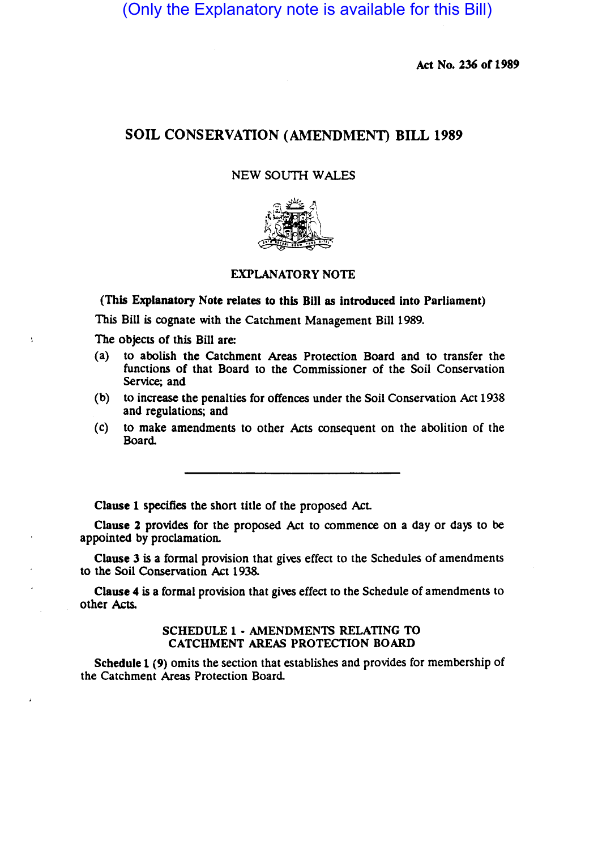(Only the Explanatory note is available for this Bill)

Act No. 236 of 1989

## SOIL CONSERVATION (AMENDMENT) BILL 1989

### NEW SOUTH WALES



### EXPLANATORY NOTE

(This Explanatory Note relates to this Bill as introduced into Parliament)

This Bill is cognate with the Catchment Management Bill 1989.

The objects of this Bill are:

ŧ

- (a) to abolish the catchment Areas Protection Board and to transfer the functions of that Board to the Commissioner of the Soil Conservation Service; and
- (b) to increase the penalties for offences under the Soil Conservation Act 1938 and regulations; and
- (c) to make amendments to other Acts consequent on the abolition of the Board.

Clause 1 specifies the short title of the proposed Act

Clause 2 provides for the proposed Act to commence on a day or days to be appointed by proclamation.

Clause 3 is a formal provision that gives effect to the Schedules of amendments to the Soil Conservation Act 1938.

Clause 4 is a formal provision that gives effect to the Schedule of amendments to other Acts.

#### SCHEDULE 1 • AMENDMENTS RELATING TO CATCHMENT AREAS PROTECTION BOARD

Schedule 1 (9) omits the section that establishes and provides for membership of the Catchment Areas Protection Board.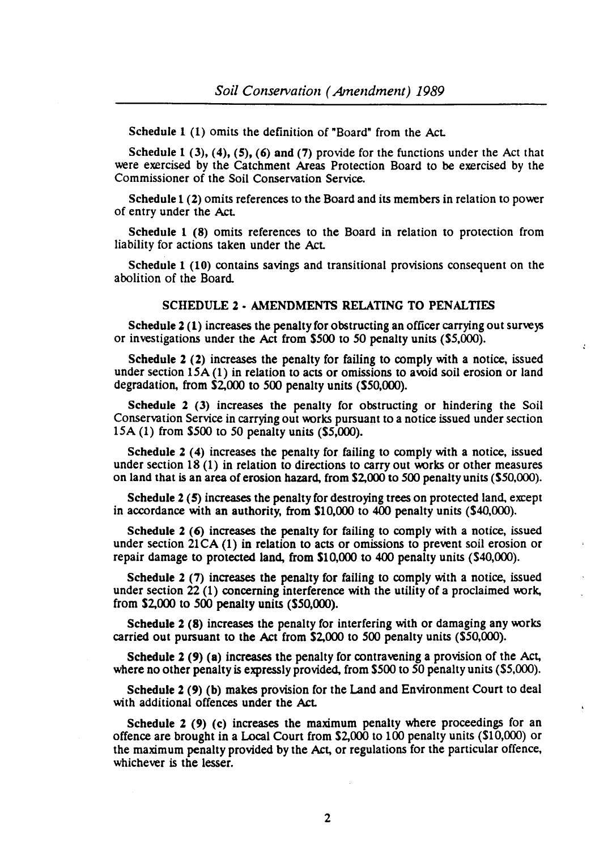Schedule 1 (1) omits the definition of "Board" from the Act.

Schedule 1 (3), (4), (5), (6) and (7) provide for the functions under the Act that were exercised by the Catchment Areas Protection Board to be exercised by the Commissioner of the Soil Conservation Service.

Schedule 1 (2) omits references to the Board and its members in relation to power of entry under the Act.

Schedule 1 (8) omits references to the Board in relation to protection from liability for actions taken under the Act.

Schedule 1 (10) contains savings and transitional provisions consequent on the abolition of the Board

#### SCHEDULE 2 • AMENDMENTS RELATING TO PENALTIES

Schedule  $2(1)$  increases the penalty for obstructing an officer carrying out surveys or investigations under the Act from \$500 to 50 penalty units (\$5,000).

Schedule 2 (2) increases the penalty for failing to comply with a notice, issued under section 15A (1) in relation to acts or omissions to avoid soil erosion or land degradation, from \$2,000 to 500 penalty units (\$50,000).

Schedule 2 (3) increases the penalty for obstructing or hindering the Soil Conservation Service in carrying out works pursuant to a notice issued under section 15A (1) from \$500 to 50 penalty units (\$5,000).

Schedule 2 (4) increases the penalty for failing to comply with a notice, issued under section 18 (1) in relation to directions to carry out works or other measures on land that is an area of erosion hazard, from \$2,000 to 500 penalty units (\$50,000).

Schedule 2 (5) increases the penalty for destroying trees on protected land, except in accordance with an authority, from \$10,000 to 400 penalty units (\$40,000).

Schedule 2  $(6)$  increases the penalty for failing to comply with a notice, issued under section  $21CA(1)$  in relation to acts or omissions to prevent soil erosion or repair damage to protected land, from \$10,000 to 400 penalty units (\$40,000).

Schedule  $2(7)$  increases the penalty for failing to comply with a notice, issued under section 22 (1) concerning interference with the utility of a proclaimed work, from \$2,000 to 500 penalty units (S50,000).

Schedule 2 (8) increases the penalty for interfering with or damaging any works carried out pursuant to the Act from S2,OOO to 500 penalty units (\$50,000).

Schedule 2 (9) (a) increases the penalty for contravening a provision of the Act, where no other penalty is expressly provided, from \$500 to 50 penalty units (\$5,000).

Schedule 2 (9) (b) makes provision for the Land and Environment Court to deal with additional offences under the Act.

Schedule 2 (9) (c) increases the maximum penalty where proceedings for an offence are brought in a Local Court from \$2,000 to 100 penalty units (\$10,000) or the maximum penalty provided by the Act, or regulations for the particular offence, whichever is the lesser.